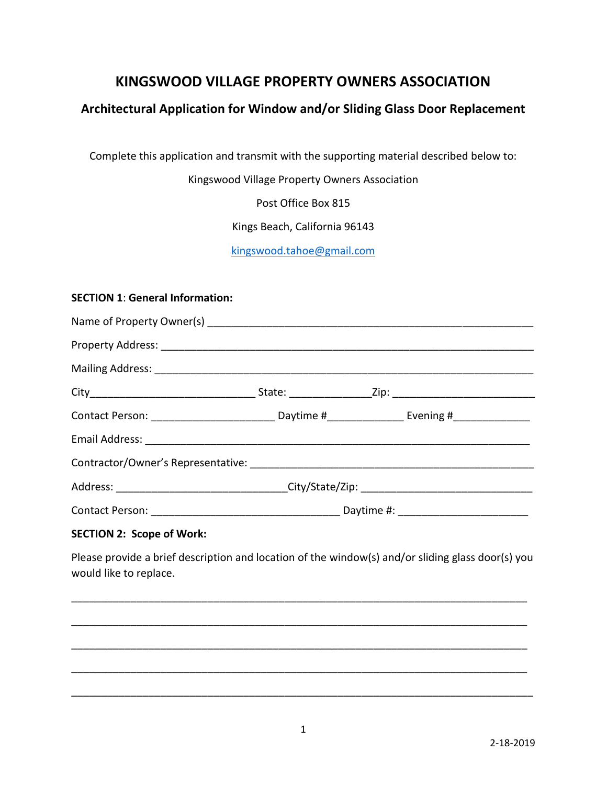# **KINGSWOOD VILLAGE PROPERTY OWNERS ASSOCIATION**

## **Architectural Application for Window and/or Sliding Glass Door Replacement**

Complete this application and transmit with the supporting material described below to:

Kingswood Village Property Owners Association

Post Office Box 815

Kings Beach, California 96143

[kingswood.tahoe@gmail.com](mailto:kingswood.tahoe@gmail.com)

#### **SECTION 1**: **General Information:**

| Contact Person: _______________________________Daytime #_________________________ Evening #_______________ |  |  |  |
|------------------------------------------------------------------------------------------------------------|--|--|--|
|                                                                                                            |  |  |  |
|                                                                                                            |  |  |  |
|                                                                                                            |  |  |  |
|                                                                                                            |  |  |  |
| $CFC$ $TION$ 2. $Scone$ of $M$ ork.                                                                        |  |  |  |

**SECTION 2: Scope of Work:**

Please provide a brief description and location of the window(s) and/or sliding glass door(s) you would like to replace.

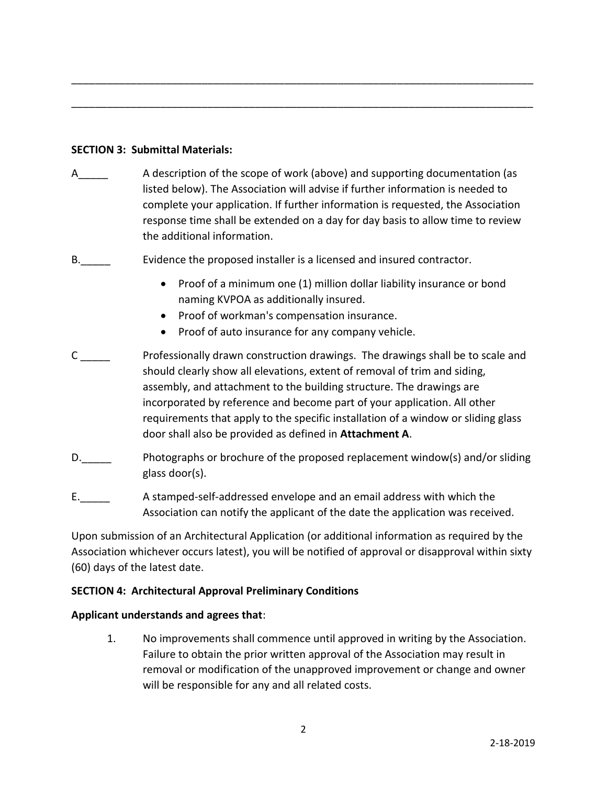### **SECTION 3: Submittal Materials:**

A\_\_\_\_\_ A description of the scope of work (above) and supporting documentation (as listed below). The Association will advise if further information is needed to complete your application. If further information is requested, the Association response time shall be extended on a day for day basis to allow time to review the additional information.

\_\_\_\_\_\_\_\_\_\_\_\_\_\_\_\_\_\_\_\_\_\_\_\_\_\_\_\_\_\_\_\_\_\_\_\_\_\_\_\_\_\_\_\_\_\_\_\_\_\_\_\_\_\_\_\_\_\_\_\_\_\_\_\_\_\_\_\_\_\_\_\_\_\_\_\_\_\_

\_\_\_\_\_\_\_\_\_\_\_\_\_\_\_\_\_\_\_\_\_\_\_\_\_\_\_\_\_\_\_\_\_\_\_\_\_\_\_\_\_\_\_\_\_\_\_\_\_\_\_\_\_\_\_\_\_\_\_\_\_\_\_\_\_\_\_\_\_\_\_\_\_\_\_\_\_\_

- B. Evidence the proposed installer is a licensed and insured contractor.
	- Proof of a minimum one (1) million dollar liability insurance or bond naming KVPOA as additionally insured.
	- Proof of workman's compensation insurance.
	- Proof of auto insurance for any company vehicle.
- C \_\_\_\_\_ Professionally drawn construction drawings. The drawings shall be to scale and should clearly show all elevations, extent of removal of trim and siding, assembly, and attachment to the building structure. The drawings are incorporated by reference and become part of your application. All other requirements that apply to the specific installation of a window or sliding glass door shall also be provided as defined in **Attachment A**.
- D. Photographs or brochure of the proposed replacement window(s) and/or sliding glass door(s).
- E.\_\_\_\_\_ A stamped-self-addressed envelope and an email address with which the Association can notify the applicant of the date the application was received.

Upon submission of an Architectural Application (or additional information as required by the Association whichever occurs latest), you will be notified of approval or disapproval within sixty (60) days of the latest date.

### **SECTION 4: Architectural Approval Preliminary Conditions**

### **Applicant understands and agrees that**:

1. No improvements shall commence until approved in writing by the Association. Failure to obtain the prior written approval of the Association may result in removal or modification of the unapproved improvement or change and owner will be responsible for any and all related costs.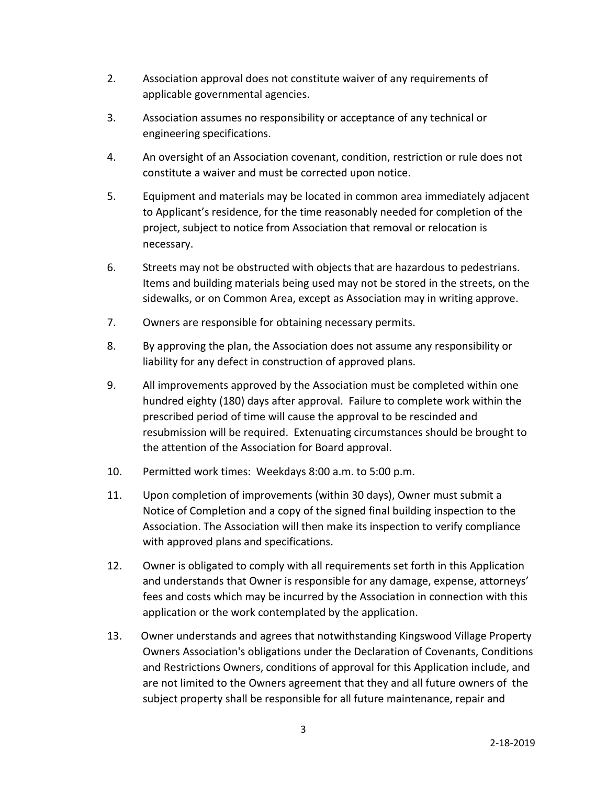- 2. Association approval does not constitute waiver of any requirements of applicable governmental agencies.
- 3. Association assumes no responsibility or acceptance of any technical or engineering specifications.
- 4. An oversight of an Association covenant, condition, restriction or rule does not constitute a waiver and must be corrected upon notice.
- 5. Equipment and materials may be located in common area immediately adjacent to Applicant's residence, for the time reasonably needed for completion of the project, subject to notice from Association that removal or relocation is necessary.
- 6. Streets may not be obstructed with objects that are hazardous to pedestrians. Items and building materials being used may not be stored in the streets, on the sidewalks, or on Common Area, except as Association may in writing approve.
- 7. Owners are responsible for obtaining necessary permits.
- 8. By approving the plan, the Association does not assume any responsibility or liability for any defect in construction of approved plans.
- 9. All improvements approved by the Association must be completed within one hundred eighty (180) days after approval. Failure to complete work within the prescribed period of time will cause the approval to be rescinded and resubmission will be required. Extenuating circumstances should be brought to the attention of the Association for Board approval.
- 10. Permitted work times: Weekdays 8:00 a.m. to 5:00 p.m.
- 11. Upon completion of improvements (within 30 days), Owner must submit a Notice of Completion and a copy of the signed final building inspection to the Association. The Association will then make its inspection to verify compliance with approved plans and specifications.
- 12. Owner is obligated to comply with all requirements set forth in this Application and understands that Owner is responsible for any damage, expense, attorneys' fees and costs which may be incurred by the Association in connection with this application or the work contemplated by the application.
- 13. Owner understands and agrees that notwithstanding Kingswood Village Property Owners Association's obligations under the Declaration of Covenants, Conditions and Restrictions Owners, conditions of approval for this Application include, and are not limited to the Owners agreement that they and all future owners of the subject property shall be responsible for all future maintenance, repair and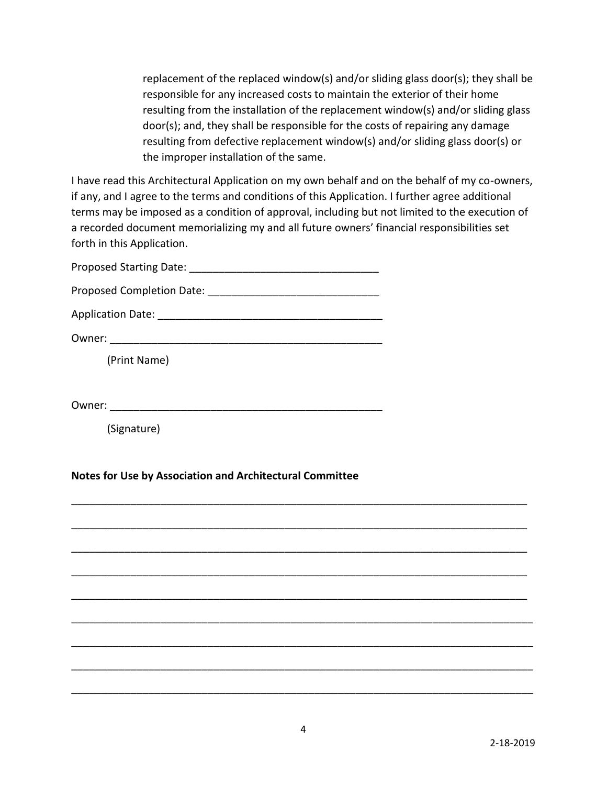replacement of the replaced window(s) and/or sliding glass door(s); they shall be responsible for any increased costs to maintain the exterior of their home resulting from the installation of the replacement window(s) and/or sliding glass door(s); and, they shall be responsible for the costs of repairing any damage resulting from defective replacement window(s) and/or sliding glass door(s) or the improper installation of the same.

I have read this Architectural Application on my own behalf and on the behalf of my co-owners, if any, and I agree to the terms and conditions of this Application. I further agree additional terms may be imposed as a condition of approval, including but not limited to the execution of a recorded document memorializing my and all future owners' financial responsibilities set forth in this Application.

| Proposed Completion Date: 2008. 2010. 2010. 2010. 2010. 2010. 2010. 2011. 2012. 2013. 2014. 2016. 2017. 2018. |
|---------------------------------------------------------------------------------------------------------------|
|                                                                                                               |
| Owner:                                                                                                        |
| (Print Name)                                                                                                  |
|                                                                                                               |
| Owner:                                                                                                        |

(Signature)

### **Notes for Use by Association and Architectural Committee**

\_\_\_\_\_\_\_\_\_\_\_\_\_\_\_\_\_\_\_\_\_\_\_\_\_\_\_\_\_\_\_\_\_\_\_\_\_\_\_\_\_\_\_\_\_\_\_\_\_\_\_\_\_\_\_\_\_\_\_\_\_\_\_\_\_\_\_\_\_\_\_\_\_\_\_\_\_

\_\_\_\_\_\_\_\_\_\_\_\_\_\_\_\_\_\_\_\_\_\_\_\_\_\_\_\_\_\_\_\_\_\_\_\_\_\_\_\_\_\_\_\_\_\_\_\_\_\_\_\_\_\_\_\_\_\_\_\_\_\_\_\_\_\_\_\_\_\_\_\_\_\_\_\_\_

\_\_\_\_\_\_\_\_\_\_\_\_\_\_\_\_\_\_\_\_\_\_\_\_\_\_\_\_\_\_\_\_\_\_\_\_\_\_\_\_\_\_\_\_\_\_\_\_\_\_\_\_\_\_\_\_\_\_\_\_\_\_\_\_\_\_\_\_\_\_\_\_\_\_\_\_\_

\_\_\_\_\_\_\_\_\_\_\_\_\_\_\_\_\_\_\_\_\_\_\_\_\_\_\_\_\_\_\_\_\_\_\_\_\_\_\_\_\_\_\_\_\_\_\_\_\_\_\_\_\_\_\_\_\_\_\_\_\_\_\_\_\_\_\_\_\_\_\_\_\_\_\_\_\_

\_\_\_\_\_\_\_\_\_\_\_\_\_\_\_\_\_\_\_\_\_\_\_\_\_\_\_\_\_\_\_\_\_\_\_\_\_\_\_\_\_\_\_\_\_\_\_\_\_\_\_\_\_\_\_\_\_\_\_\_\_\_\_\_\_\_\_\_\_\_\_\_\_\_\_\_\_

\_\_\_\_\_\_\_\_\_\_\_\_\_\_\_\_\_\_\_\_\_\_\_\_\_\_\_\_\_\_\_\_\_\_\_\_\_\_\_\_\_\_\_\_\_\_\_\_\_\_\_\_\_\_\_\_\_\_\_\_\_\_\_\_\_\_\_\_\_\_\_\_\_\_\_\_\_\_

\_\_\_\_\_\_\_\_\_\_\_\_\_\_\_\_\_\_\_\_\_\_\_\_\_\_\_\_\_\_\_\_\_\_\_\_\_\_\_\_\_\_\_\_\_\_\_\_\_\_\_\_\_\_\_\_\_\_\_\_\_\_\_\_\_\_\_\_\_\_\_\_\_\_\_\_\_\_

\_\_\_\_\_\_\_\_\_\_\_\_\_\_\_\_\_\_\_\_\_\_\_\_\_\_\_\_\_\_\_\_\_\_\_\_\_\_\_\_\_\_\_\_\_\_\_\_\_\_\_\_\_\_\_\_\_\_\_\_\_\_\_\_\_\_\_\_\_\_\_\_\_\_\_\_\_\_

\_\_\_\_\_\_\_\_\_\_\_\_\_\_\_\_\_\_\_\_\_\_\_\_\_\_\_\_\_\_\_\_\_\_\_\_\_\_\_\_\_\_\_\_\_\_\_\_\_\_\_\_\_\_\_\_\_\_\_\_\_\_\_\_\_\_\_\_\_\_\_\_\_\_\_\_\_\_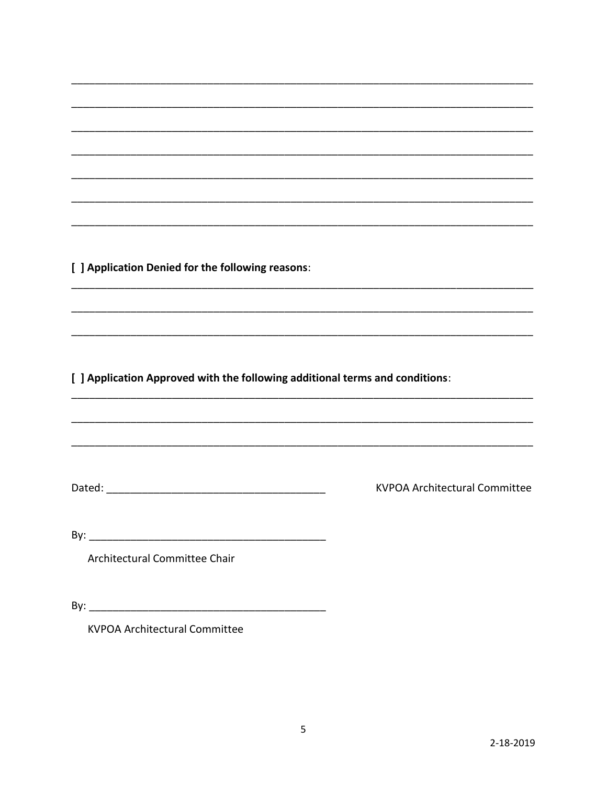[ ] Application Denied for the following reasons:

[ ] Application Approved with the following additional terms and conditions:

**KVPOA Architectural Committee** 

Architectural Committee Chair

**KVPOA Architectural Committee** 

 $\overline{\phantom{a}}$